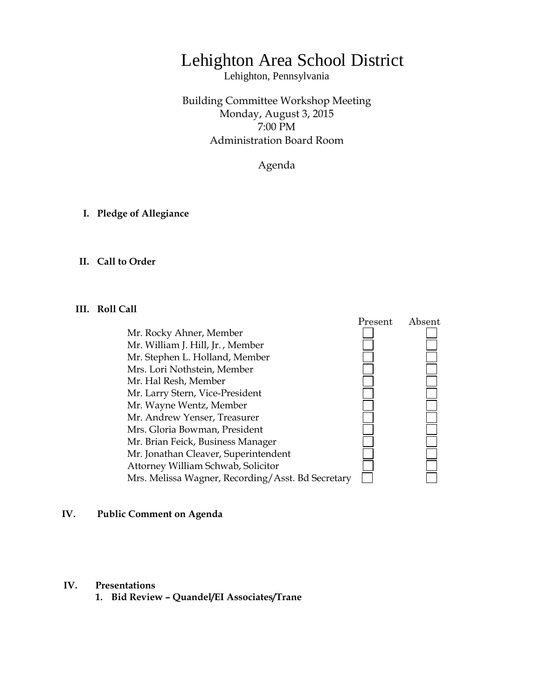# Lehighton Area School District

Lehighton, Pennsylvania

Building Committee Workshop Meeting Monday, August 3, 2015 7:00 PM Administration Board Room

Agenda

**I. Pledge of Allegiance**

## **II. Call to Order**

#### **III. Roll Call**

 Present Absent Mr. Rocky Ahner, Member Mr. William J. Hill, Jr. , Member Mr. Stephen L. Holland, Member Mrs. Lori Nothstein, Member **ENGENERAL PROPER** Mr. Hal Resh, Member Mr. Larry Stern, Vice-President Mr. Wayne Wentz, Member Mr. Andrew Yenser, Treasurer Mrs. Gloria Bowman, President Mr. Brian Feick, Business Manager Mr. Jonathan Cleaver, Superintendent Attorney William Schwab, Solicitor Mrs. Melissa Wagner, Recording/Asst. Bd Secretary

#### **IV. Public Comment on Agenda**

## **IV. Presentations**

**1. Bid Review – Quandel/EI Associates/Trane**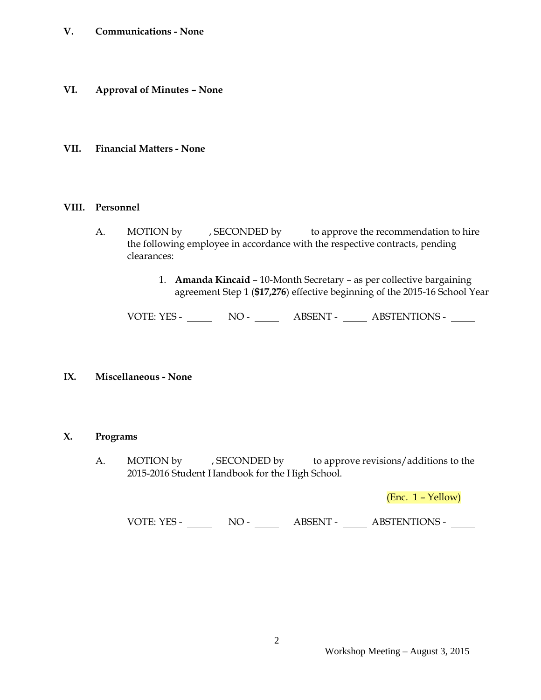# **V. Communications - None**

**VI. Approval of Minutes – None**

## **VII. Financial Matters - None**

#### **VIII. Personnel**

- A. MOTION by , SECONDED by to approve the recommendation to hire the following employee in accordance with the respective contracts, pending clearances:
	- 1. **Amanda Kincaid** 10-Month Secretary as per collective bargaining agreement Step 1 (**\$17,276**) effective beginning of the 2015-16 School Year

VOTE: YES - NO - ABSENT - ABSTENTIONS -

## **IX. Miscellaneous - None**

## **X. Programs**

A. MOTION by , SECONDED by to approve revisions/additions to the 2015-2016 Student Handbook for the High School.

(Enc. 1 – Yellow)

VOTE: YES - NO - NO - ABSENT - ABSTENTIONS -